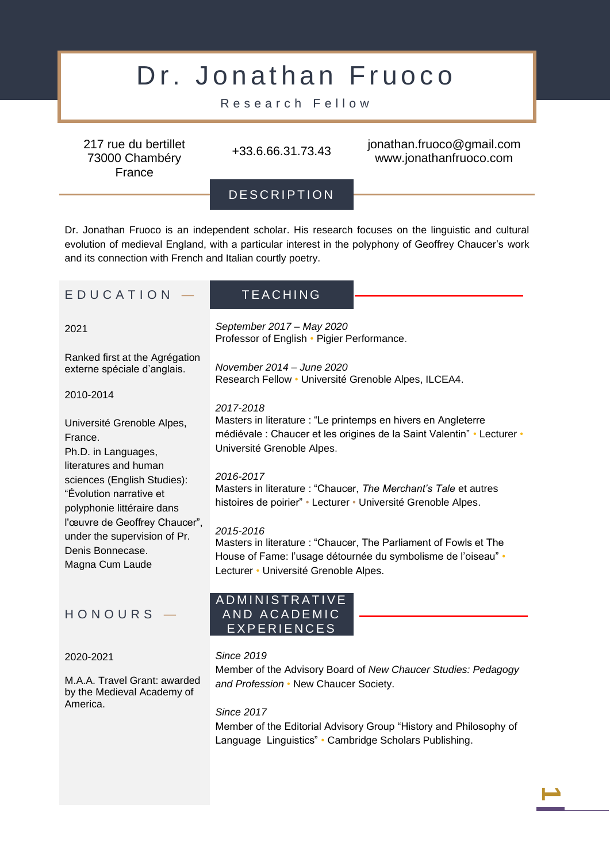# Dr. Jonathan Fruoco

Research Fellow

217 rue du bertillet 73000 Chambéry France

+33.6.66.31.73.43 jonathan.fruoco@gmail.com www.jonathanfruoco.com

DESCRIPTION

Dr. Jonathan Fruoco is an independent scholar. His research focuses on the linguistic and cultural evolution of medieval England, with a particular interest in the polyphony of Geoffrey Chaucer's work and its connection with French and Italian courtly poetry.

# E D U C A T I O N  $-$  TEACHING

2021

Ranked first at the Agrégation externe spéciale d'anglais.

2010-2014

Université Grenoble Alpes, France. Ph.D. in Languages, literatures and human sciences (English Studies): "Évolution narrative et polyphonie littéraire dans l'œuvre de Geoffrey Chaucer", under the supervision of Pr. Denis Bonnecase. Magna Cum Laude

# H O N O U R S —

# 2020-2021

M.A.A. Travel Grant: awarded by the Medieval Academy of America.

*September 2017 – May 2020* Professor of English • Pigier Performance.

*November 2014 – June 2020* Research Fellow • Université Grenoble Alpes, ILCEA4.

# *2017-2018*

Masters in literature : "Le printemps en hivers en Angleterre médiévale : Chaucer et les origines de la Saint Valentin" • Lecturer • Université Grenoble Alpes.

# *2016-2017*

Masters in literature : "Chaucer, *The Merchant's Tale* et autres histoires de poirier" • Lecturer • Université Grenoble Alpes.

# *2015-2016*

Masters in literature : "Chaucer, The Parliament of Fowls et The House of Fame: l'usage détournée du symbolisme de l'oiseau" • Lecturer • Université Grenoble Alpes.

# A D M I N I S T R A T I V E AND ACADEMIC E X P E R I E N C E S

# *Since 2019*

Member of the Advisory Board of *New Chaucer Studies: Pedagogy and Profession* • New Chaucer Society.

*Since 2017*

Member of the Editorial Advisory Group "History and Philosophy of Language Linguistics" • Cambridge Scholars Publishing.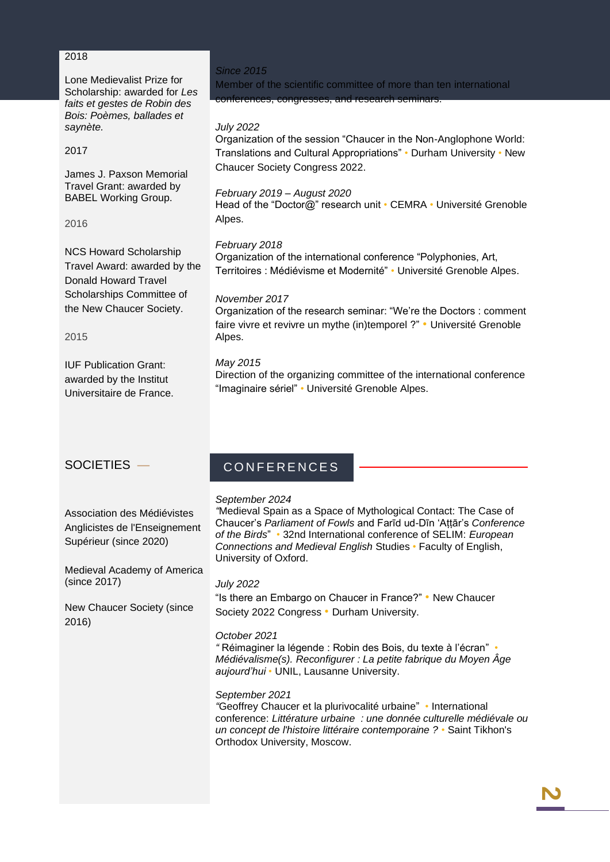# 2018

Lone Medievalist Prize for Scholarship: awarded for *Les faits et gestes de Robin des Bois: Poèmes, ballades et saynète.*

# 2017

James J. Paxson Memorial Travel Grant: awarded by BABEL Working Group.

2016

NCS Howard Scholarship Travel Award: awarded by the Donald Howard Travel Scholarships Committee of the New Chaucer Society.

2015

IUF Publication Grant: awarded by the Institut Universitaire de France.

# *Since 2015*

Member of the scientific committee of more than ten international conferences, congresses, and research seminars.

# *July 2022*

Organization of the session "Chaucer in the Non-Anglophone World: Translations and Cultural Appropriations" • Durham University • New Chaucer Society Congress 2022.

# *February 2019 – August 2020*

Head of the "Doctor@" research unit • CEMRA • Université Grenoble Alpes.

# *February 2018*

Organization of the international conference "Polyphonies, Art, Territoires : Médiévisme et Modernité" • Université Grenoble Alpes.

# *November 2017*

Organization of the research seminar: "We're the Doctors : comment faire vivre et revivre un mythe (in)temporel ?" • Université Grenoble Alpes.

# *May 2015*

Direction of the organizing committee of the international conference "Imaginaire sériel" • Université Grenoble Alpes.

# SOCIETIES —

Association des Médiévistes Anglicistes de l'Enseignement Supérieur (since 2020)

Medieval Academy of America (since 2017)

New Chaucer Society (since 2016)

# C O N F E R E N C E S

# *September 2024*

*"*Medieval Spain as a Space of Mythological Contact: The Case of Chaucer's *Parliament of Fowls* and Farīd ud-Dīn 'Aṭṭār's *Conference of the Birds*" *•* 32nd International conference of SELIM: *European Connections and Medieval English* Studies *•* Faculty of English, University of Oxford.

# *July 2022*

"Is there an Embargo on Chaucer in France?" • New Chaucer Society 2022 Congress • Durham University.

# *October 2021*

*"* Réimaginer la légende : Robin des Bois, du texte à l'écran" *• Médiévalisme(s). Reconfigurer : La petite fabrique du Moyen Âge aujourd'hui •* UNIL, Lausanne University.

# *September 2021*

*"*Geoffrey Chaucer et la plurivocalité urbaine" *•* International conference: *Littérature urbaine : une donnée culturelle médiévale ou un concept de l'histoire littéraire contemporaine ? •* Saint Tikhon's Orthodox University, Moscow.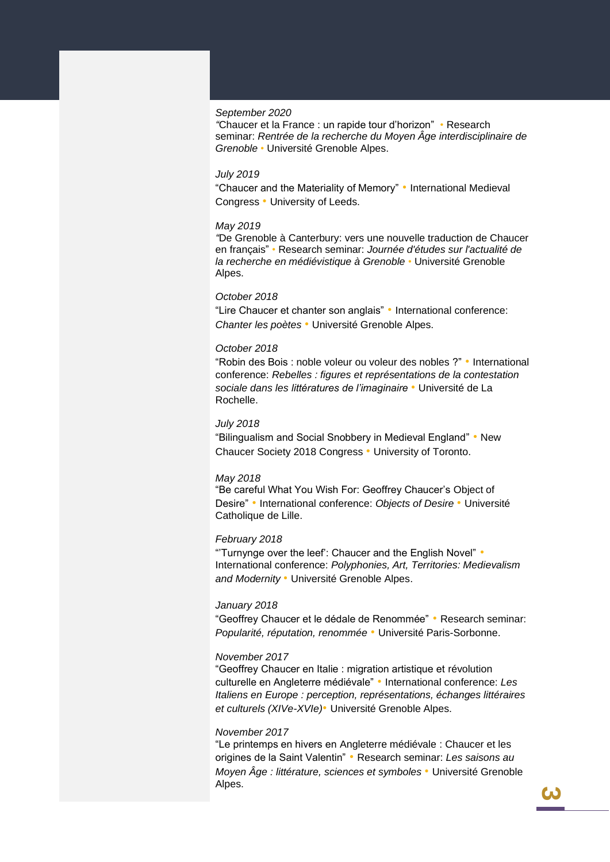#### *September 2020*

*"*Chaucer et la France : un rapide tour d'horizon" *•* Research seminar: *Rentrée de la recherche du Moyen Âge interdisciplinaire de Grenoble •* Université Grenoble Alpes.

#### *July 2019*

"Chaucer and the Materiality of Memory" • International Medieval Congress • University of Leeds.

#### *May 2019*

*"*De Grenoble à Canterbury: vers une nouvelle traduction de Chaucer en français" *•* Research seminar: *Journée d'études sur l'actualité de la recherche en médiévistique à Grenoble •* Université Grenoble Alpes.

#### *October 2018*

"Lire Chaucer et chanter son anglais" • International conference: *Chanter les poètes* • Université Grenoble Alpes.

#### *October 2018*

"Robin des Bois : noble voleur ou voleur des nobles ?" • International conference: *Rebelles : figures et représentations de la contestation sociale dans les littératures de l'imaginaire* • Université de La Rochelle.

#### *July 2018*

"Bilingualism and Social Snobbery in Medieval England" • New Chaucer Society 2018 Congress • University of Toronto.

#### *May 2018*

"Be careful What You Wish For: Geoffrey Chaucer's Object of Desire" • International conference: *Objects of Desire* • Université Catholique de Lille.

#### *February 2018*

"'Turnynge over the leef': Chaucer and the English Novel" • International conference: *Polyphonies, Art, Territories: Medievalism and Modernity* • Université Grenoble Alpes.

#### *January 2018*

"Geoffrey Chaucer et le dédale de Renommée" • Research seminar: *Popularité, réputation, renommée* • Université Paris-Sorbonne.

#### *November 2017*

"Geoffrey Chaucer en Italie : migration artistique et révolution culturelle en Angleterre médiévale" • International conference: *Les Italiens en Europe : perception, représentations, échanges littéraires et culturels (XIVe-XVIe)*• Université Grenoble Alpes.

#### *November 2017*

"Le printemps en hivers en Angleterre médiévale : Chaucer et les origines de la Saint Valentin" • Research seminar: *Les saisons au Moyen Âge : littérature, sciences et symboles* • Université Grenoble Alpes.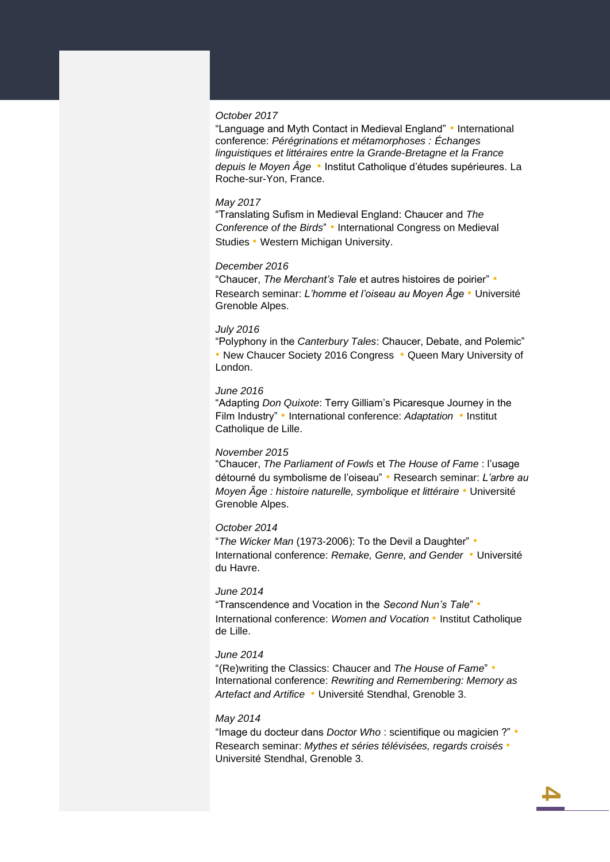#### *October 2017*

"Language and Myth Contact in Medieval England" • International conference: *Pérégrinations et métamorphoses : Échanges linguistiques et littéraires entre la Grande-Bretagne et la France depuis le Moyen Âge* • Institut Catholique d'études supérieures. La Roche-sur-Yon, France.

#### *May 2017*

"Translating Sufism in Medieval England: Chaucer and *The Conference of the Birds*" • International Congress on Medieval Studies • Western Michigan University.

#### *December 2016*

"Chaucer, *The Merchant's Tale* et autres histoires de poirier" • Research seminar: *L'homme et l'oiseau au Moyen Âge* • Université Grenoble Alpes.

#### *July 2016*

"Polyphony in the *Canterbury Tales*: Chaucer, Debate, and Polemic" • New Chaucer Society 2016 Congress • Queen Mary University of London.

#### *June 2016*

"Adapting *Don Quixote*: Terry Gilliam's Picaresque Journey in the Film Industry" • International conference: *Adaptation* • Institut Catholique de Lille.

#### *November 2015*

"Chaucer, *The Parliament of Fowls* et *The House of Fame* : l'usage détourné du symbolisme de l'oiseau" • Research seminar: *L'arbre au Moyen Âge : histoire naturelle, symbolique et littéraire* • Université Grenoble Alpes.

#### *October 2014*

"*The Wicker Man* (1973-2006): To the Devil a Daughter" • International conference: *Remake, Genre, and Gender* • Université du Havre.

#### *June 2014*

"Transcendence and Vocation in the *Second Nun's Tale*" • International conference: *Women and Vocation* • Institut Catholique de Lille.

### *June 2014*

"(Re)writing the Classics: Chaucer and *The House of Fame*" • International conference: *Rewriting and Remembering: Memory as Artefact and Artifice* • Université Stendhal, Grenoble 3.

#### *May 2014*

"Image du docteur dans *Doctor Who* : scientifique ou magicien ?" • Research seminar: *Mythes et séries télévisées, regards croisés* • Université Stendhal, Grenoble 3.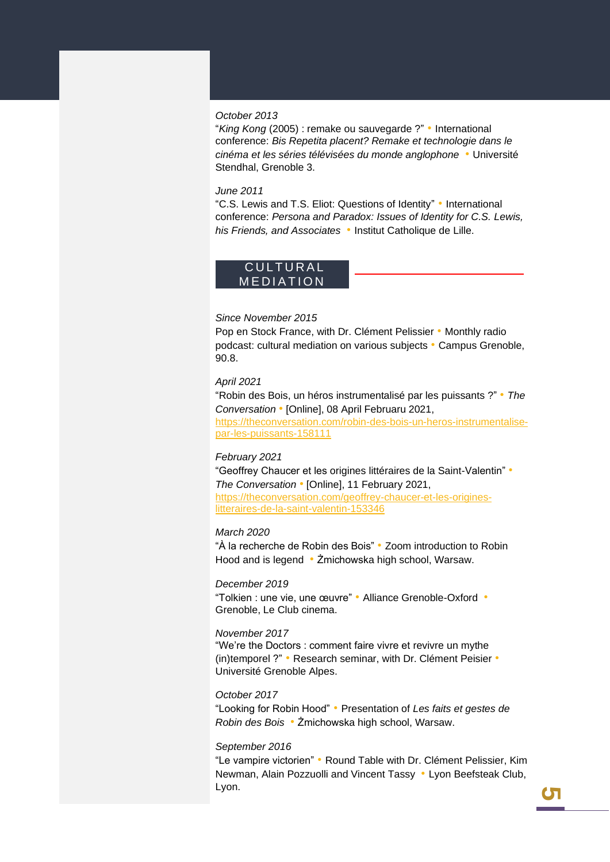#### *October 2013*

"*King Kong* (2005) : remake ou sauvegarde ?" • International conference: *Bis Repetita placent? Remake et technologie dans le cinéma et les séries télévisées du monde anglophone* • Université Stendhal, Grenoble 3.

#### *June 2011*

"C.S. Lewis and T.S. Eliot: Questions of Identity" • International conference: *Persona and Paradox: Issues of Identity for C.S. Lewis, his Friends, and Associates* • Institut Catholique de Lille.

# **CULTURAL** MEDIATION

#### *Since November 2015*

Pop en Stock France, with Dr. Clément Pelissier • Monthly radio podcast: cultural mediation on various subjects • Campus Grenoble, 90.8.

#### *April 2021*

"Robin des Bois, un héros instrumentalisé par les puissants ?" • *The Conversation* • [Online], 08 April Februaru 2021, [https://theconversation.com/robin-des-bois-un-heros-instrumentalise](https://theconversation.com/robin-des-bois-un-heros-instrumentalise-par-les-puissants-158111)[par-les-puissants-158111](https://theconversation.com/robin-des-bois-un-heros-instrumentalise-par-les-puissants-158111)

#### *February 2021*

"Geoffrey Chaucer et les origines littéraires de la Saint-Valentin" • *The Conversation* • [Online], 11 February 2021, [https://theconversation.com/geoffrey-chaucer-et-les-origines](https://theconversation.com/geoffrey-chaucer-et-les-origines-litteraires-de-la-saint-valentin-153346)[litteraires-de-la-saint-valentin-153346](https://theconversation.com/geoffrey-chaucer-et-les-origines-litteraires-de-la-saint-valentin-153346)

#### *March 2020*

"À la recherche de Robin des Bois" • Zoom introduction to Robin Hood and is legend • Żmichowska high school, Warsaw.

#### *December 2019*

"Tolkien : une vie, une œuvre" • Alliance Grenoble-Oxford • Grenoble, Le Club cinema.

### *November 2017*

"We're the Doctors : comment faire vivre et revivre un mythe (in)temporel ?" • Research seminar, with Dr. Clément Peisier • Université Grenoble Alpes.

#### *October 2017*

"Looking for Robin Hood" • Presentation of *Les faits et gestes de Robin des Bois* • Żmichowska high school, Warsaw.

#### *September 2016*

"Le vampire victorien" • Round Table with Dr. Clément Pelissier, Kim Newman, Alain Pozzuolli and Vincent Tassy • Lyon Beefsteak Club, Lyon.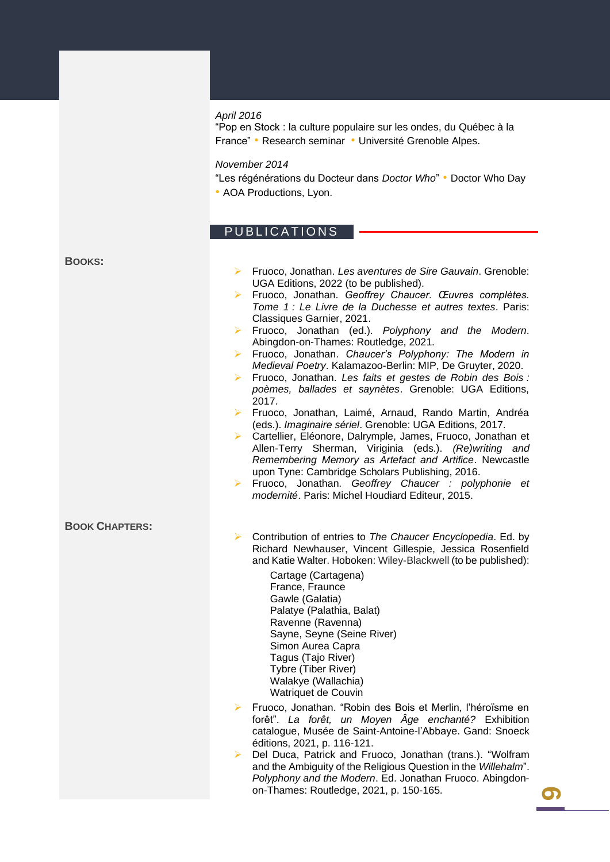#### *April 2016*

"Pop en Stock : la culture populaire sur les ondes, du Québec à la France" • Research seminar • Université Grenoble Alpes.

*November 2014*

"Les régénérations du Docteur dans *Doctor Who*" • Doctor Who Day • AOA Productions, Lyon.

# PUBLICATIONS

#### **BOOKS:**

- ➢ Fruoco, Jonathan. *Les aventures de Sire Gauvain*. Grenoble: UGA Editions, 2022 (to be published). ➢ Fruoco, Jonathan. *Geoffrey Chaucer. Œuvres complètes.*
- *Tome 1 : Le Livre de la Duchesse et autres textes*. Paris: Classiques Garnier, 2021.
- ➢ Fruoco, Jonathan (ed.). *Polyphony and the Modern*. Abingdon-on-Thames: Routledge, 2021.
- ➢ Fruoco, Jonathan. *Chaucer's Polyphony: The Modern in Medieval Poetry*. Kalamazoo-Berlin: MIP, De Gruyter, 2020.
- ➢ Fruoco, Jonathan. *Les faits et gestes de Robin des Bois : poèmes, ballades et saynètes*. Grenoble: UGA Editions, 2017.
- ➢ Fruoco, Jonathan, Laimé, Arnaud, Rando Martin, Andréa (eds.). *Imaginaire sériel*. Grenoble: UGA Editions, 2017.
- ➢ Cartellier, Eléonore, Dalrymple, James, Fruoco, Jonathan et Allen-Terry Sherman, Viriginia (eds.). *(Re)writing and Remembering Memory as Artefact and Artifice*. Newcastle upon Tyne: Cambridge Scholars Publishing, 2016.
- ➢ Fruoco, Jonathan. *Geoffrey Chaucer : polyphonie et modernité*. Paris: Michel Houdiard Editeur, 2015.

#### **BOOK CHAPTERS:**

- ➢ Contribution of entries to *The Chaucer Encyclopedia*. Ed. by Richard Newhauser, Vincent Gillespie, Jessica Rosenfield and Katie Walter. Hoboken: Wiley-Blackwell (to be published):
	- Cartage (Cartagena) France, Fraunce Gawle (Galatia) Palatye (Palathia, Balat) Ravenne (Ravenna) Sayne, Seyne (Seine River) Simon Aurea Capra Tagus (Tajo River) Tybre (Tiber River) Walakye (Wallachia) Watriquet de Couvin
- ➢ Fruoco, Jonathan. "Robin des Bois et Merlin, l'héroïsme en forêt". *La forêt, un Moyen Âge enchanté?* Exhibition catalogue, Musée de Saint-Antoine-l'Abbaye. Gand: Snoeck éditions, 2021, p. 116-121.
- ➢ Del Duca, Patrick and Fruoco, Jonathan (trans.). "Wolfram and the Ambiguity of the Religious Question in the *Willehalm*". *Polyphony and the Modern*. Ed. Jonathan Fruoco. Abingdonon-Thames: Routledge, 2021, p. 150-165.

**6**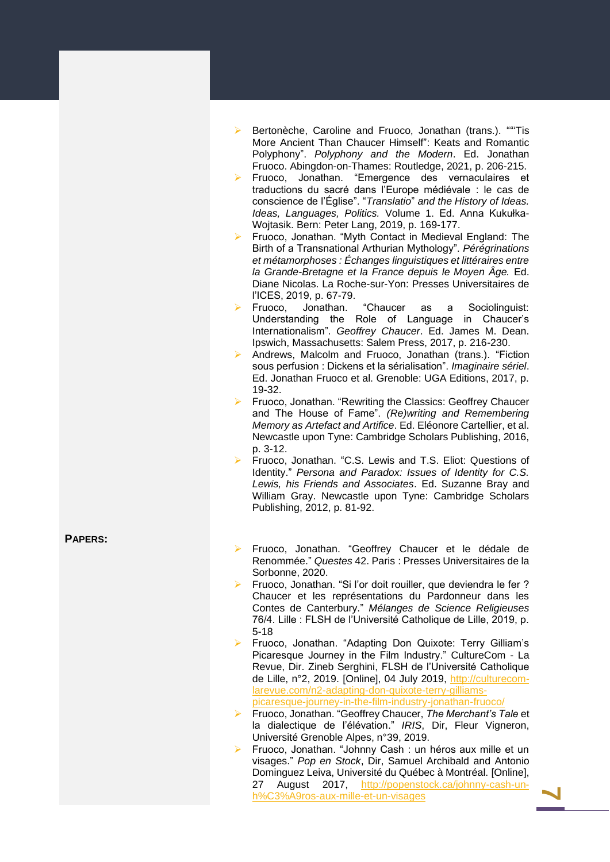- ➢ Bertonèche, Caroline and Fruoco, Jonathan (trans.). ""'Tis More Ancient Than Chaucer Himself ": Keats and Romantic Polyphony". *Polyphony and the Modern*. Ed. Jonathan Fruoco. Abingdon -on -Thames: Routledge, 202 1, p. 206 -215.
- ➢ Fruoco, Jonathan. "Emergence des vernaculaires et traductions du sacré dans l'Europe médiévale : le cas de conscience de l'Église". "*Translatio* " *and the History of Ideas. Ideas, Languages, Politics.* Volume 1. Ed. Anna Kukułka - Wojtasik. Bern: Peter Lang, 2019, p. 169-177.
- ➢ Fruoco, Jonathan. "Myth Contact in Medieval England: The Birth of a Transnational Arthurian Mythology". *Pérégrinations et métamorphoses : Échanges linguistiques et littéraires entre la Grande -Bretagne et la France depuis le Moyen Âge.* Ed. Diane Nicolas. La Roche-sur-Yon: Presses Universitaires de l'ICES, 2019, p. 67 -79.
- ➢ Fruoco, Jonathan. "Chaucer as a Sociolinguist: Understanding the Role of Language in Chaucer's Internationalism ". *Geoffrey Chaucer*. Ed. James M. Dean. Ipswich, Massachusetts: Salem Press, 2017, p. 216 -230.
- ➢ Andrews, Malcolm and Fruoco, Jonathan (trans.). "Fiction sous perfusion : Dickens et la sérialisation". *Imaginaire sériel*. Ed. Jonathan Fruoco et al. Grenoble: UGA Editions, 2017, p. 19 -32.
- ➢ Fruoco, Jonathan. "Rewriting the Classics: Geoffrey Chaucer and The House of Fame". *(Re)writing and Remembering Memory as Artefact and Artifice*. Ed. Eléonore Cartellier, et al. Newcastle upon Tyne: Cambridge Scholars Publishing, 2016, p. 3 -12.
- ➢ Fruoco, Jonathan. "C.S. Lewis and T.S. Eliot: Questions of Identity." *Persona and Paradox: Issues of Identity for C.S. Lewis, his Friends and Associates*. Ed. Suzanne Bray and William Gray. Newcastle upon Tyne: Cambridge Scholars Publishing, 2012, p. 81 -92.

**PAPERS :**

- ➢ Fruoco, Jonathan. "Geoffrey Chaucer et le dédale de Renommée . " *Questes* 42. Paris : Presses Universitaires de la Sorbonne, 2020.
- ➢ Fruoco, Jonathan. "Si l'or doit rouiller, que deviendra le fer ? Chaucer et les représentations du Pardonneur dans les Contes de Canterbury . " *Mélanges de Science Religieuses* 76/4. Lille : FLSH de l'Université Catholique de Lille, 2019, p. 5-18
- ➢ Fruoco, Jonathan. "Adapting Don Quixote: Terry Gilliam's Picaresque Journey in the Film Industry." CultureCom - La Revue, Dir. Zineb Serghini, FLSH de l'Université Catholique de Lille, n°2, 2019. [Online], 04 July 2019, [http://culturecom](http://culturecom-larevue.com/n2-adapting-don-quixote-terry-gilliams-picaresque-journey-in-the-film-industry-jonathan-fruoco/)[larevue.com/n2](http://culturecom-larevue.com/n2-adapting-don-quixote-terry-gilliams-picaresque-journey-in-the-film-industry-jonathan-fruoco/)-adapting-don-quixote-terry-gilliams[picaresque](http://culturecom-larevue.com/n2-adapting-don-quixote-terry-gilliams-picaresque-journey-in-the-film-industry-jonathan-fruoco/)-journey-in-the-film-industry-jonathan-fruoco/
- ➢ Fruoco, Jonathan. "Geoffrey Chaucer, *The Merchant's Tale* et la dialectique de l'élévation . " *IRIS*, Dir, Fleur Vigneron, Université Grenoble Alpes, n°39, 2019.
- ➢ Fruoco, Jonathan. "Johnny Cash : un héros aux mille et un visages ." *Pop en Stock*, Dir, Samuel Archibald and Antonio Dominguez Leiva, Université du Québec à Montréal. [Online], 27 August 2017, t 2017, <u>[http://popenstock.ca/johnny](http://popenstock.ca/johnny-cash-un-h%C3%A9ros-aux-mille-et-un-visages)-cash-un-</u> [h%C3%A9ros](http://popenstock.ca/johnny-cash-un-h%C3%A9ros-aux-mille-et-un-visages)-aux-mille-et-un-visages